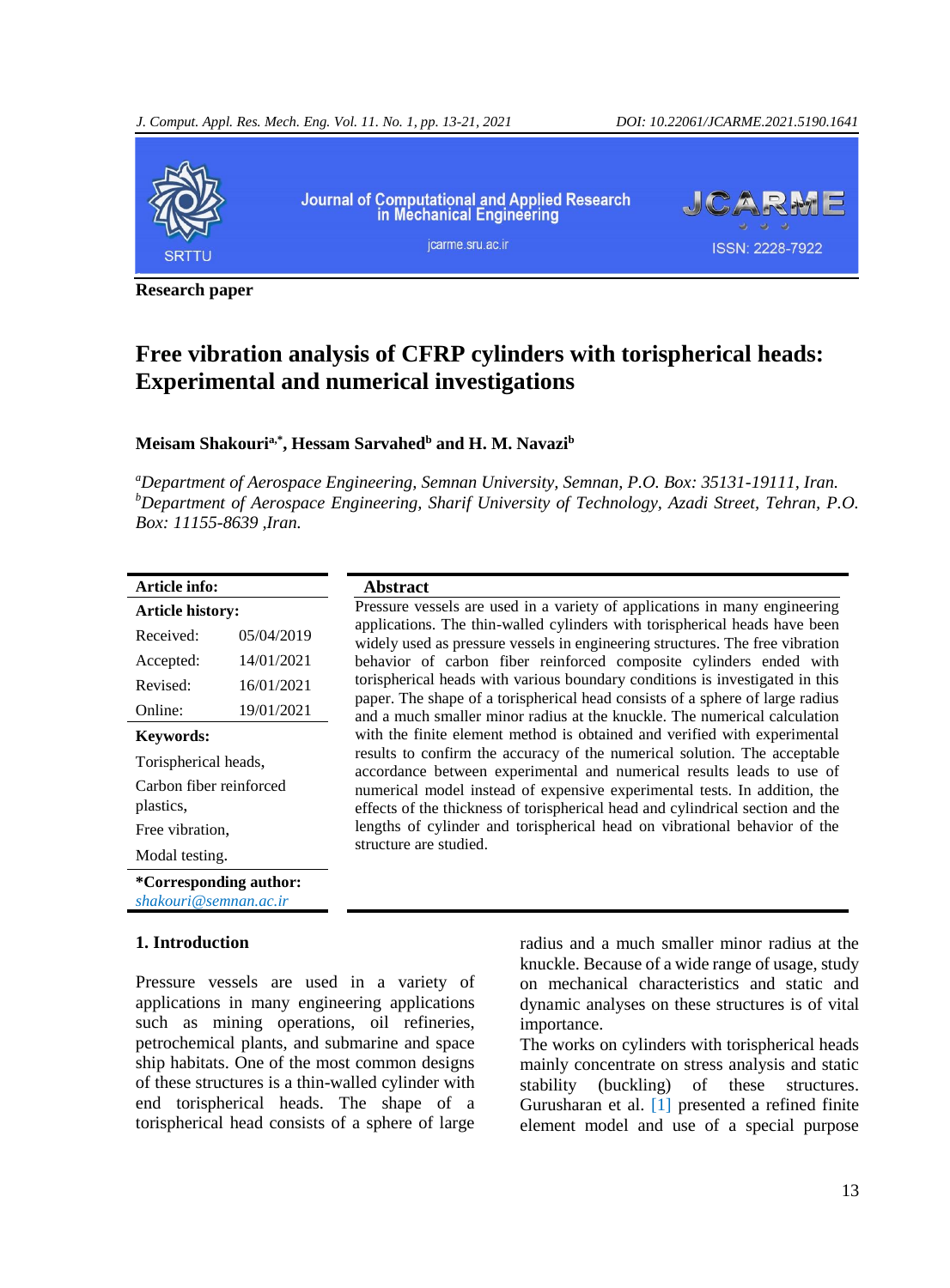

**Research paper**

# **Free vibration analysis of CFRP cylinders with torispherical heads: Experimental and numerical investigations**

### **Meisam Shakouria,\* , Hessam Sarvahed<sup>b</sup> and H. M. Navazi<sup>b</sup>**

*<sup>a</sup>Department of Aerospace Engineering, Semnan University, Semnan, P.O. Box: 35131-19111, Iran. <sup>b</sup>Department of Aerospace Engineering, Sharif University of Technology, Azadi Street, Tehran, P.O. Box: 11155-8639 ,Iran.*

| Article info:               |  |
|-----------------------------|--|
| $\lambda = 12.1$ , 1, 2, 4, |  |

| <b>Article history:</b>                         |            |  |  |  |
|-------------------------------------------------|------------|--|--|--|
| Received:                                       | 05/04/2019 |  |  |  |
| Accepted:                                       | 14/01/2021 |  |  |  |
| Revised:                                        | 16/01/2021 |  |  |  |
| Online:                                         | 19/01/2021 |  |  |  |
| Keywords:                                       |            |  |  |  |
| Torispherical heads,                            |            |  |  |  |
| Carbon fiber reinforced<br>plastics,            |            |  |  |  |
| Free vibration,                                 |            |  |  |  |
| Modal testing.                                  |            |  |  |  |
| *Corresponding author:<br>shakouri@semnan.ac.ir |            |  |  |  |

### **1. Introduction**

Pressure vessels are used in a variety of applications in many engineering applications such as mining operations, oil refineries, petrochemical plants, and submarine and space ship habitats. One of the most common designs of these structures is a thin-walled cylinder with end torispherical heads. The shape of a torispherical head consists of a sphere of large

### **Abstract**

Pressure vessels are used in a variety of applications in many engineering applications. The thin-walled cylinders with torispherical heads have been widely used as pressure vessels in engineering structures. The free vibration behavior of carbon fiber reinforced composite cylinders ended with torispherical heads with various boundary conditions is investigated in this paper. The shape of a torispherical head consists of a sphere of large radius and a much smaller minor radius at the knuckle. The numerical calculation with the finite element method is obtained and verified with experimental results to confirm the accuracy of the numerical solution. The acceptable accordance between experimental and numerical results leads to use of numerical model instead of expensive experimental tests. In addition, the effects of the thickness of torispherical head and cylindrical section and the lengths of cylinder and torispherical head on vibrational behavior of the structure are studied.

> radius and a much smaller minor radius at the knuckle. Because of a wide range of usage, study on mechanical characteristics and static and dynamic analyses on these structures is of vital importance.

> The works on cylinders with torispherical heads mainly concentrate on stress analysis and static stability (buckling) of these structures. Gurusharan et al. [\[1\]](#page-6-0) presented a refined finite element model and use of a special purpose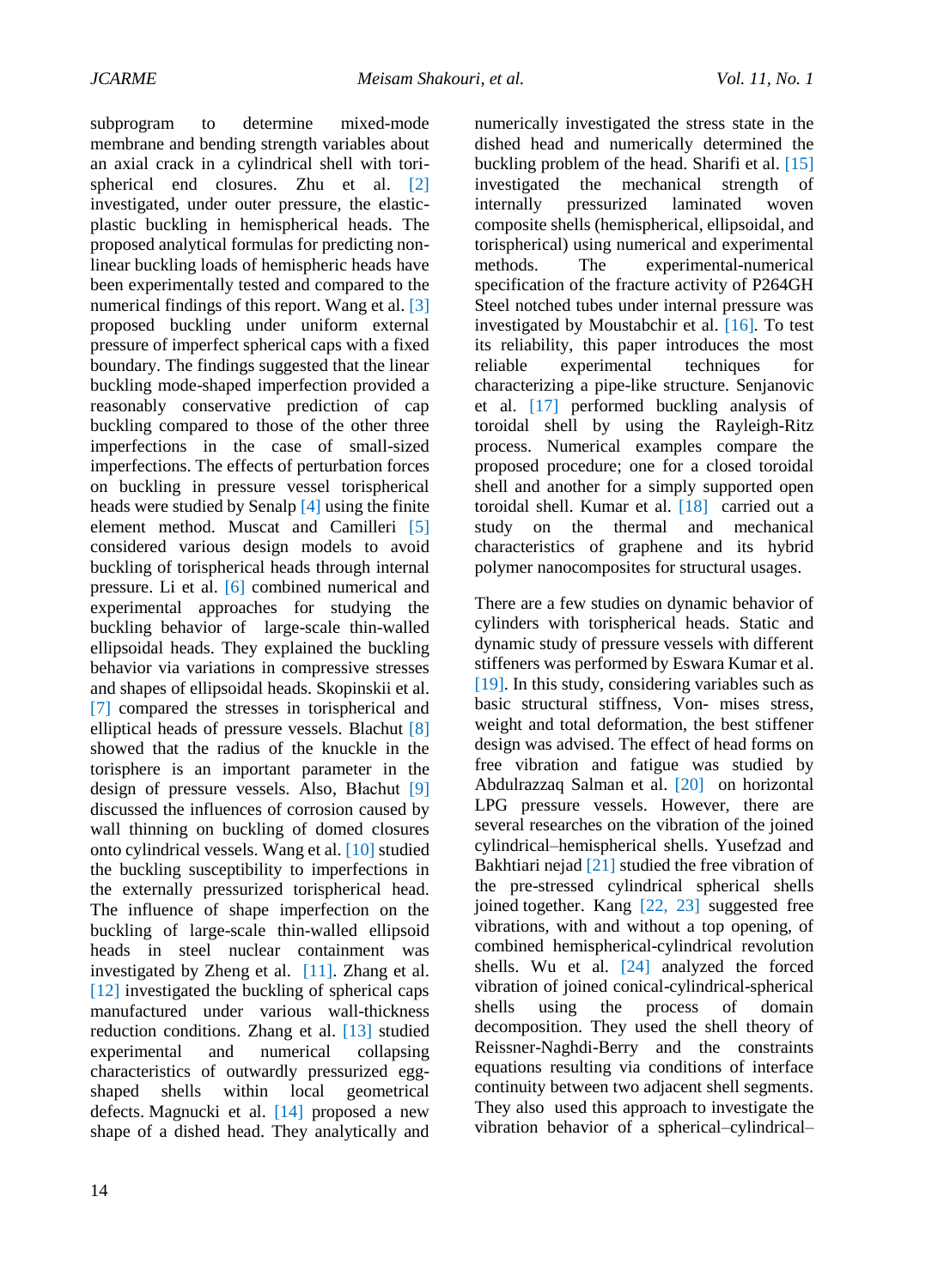subprogram to determine mixed-mode membrane and bending strength variables about an axial crack in a cylindrical shell with torispherical end closures. Zhu et al. [\[2\]](#page-6-1) investigated, under outer pressure, the elasticplastic buckling in hemispherical heads. The proposed analytical formulas for predicting nonlinear buckling loads of hemispheric heads have been experimentally tested and compared to the numerical findings of this report. [Wang](https://www.sciencedirect.com/science/article/pii/S095183391830176X#!) et al. [\[3\]](#page-7-0) proposed buckling under uniform external pressure of imperfect spherical caps with a fixed boundary. The findings suggested that the linear buckling mode-shaped imperfection provided a reasonably conservative prediction of cap buckling compared to those of the other three imperfections in the case of small-sized imperfections. The effects of perturbation forces on buckling in pressure vessel torispherical heads were studied by Senalp [\[4\]](#page-7-1) using the finite element method. Muscat and Camilleri [\[5\]](#page-7-2) considered various design models to avoid buckling of torispherical heads through internal pressure. Li et al. [\[6\]](#page-7-3) combined numerical and experimental approaches for studying the buckling behavior of large-scale thin-walled ellipsoidal heads. They explained the buckling behavior via variations in compressive stresses and shapes of ellipsoidal heads. Skopinskii et al. [\[7\]](#page-7-4) compared the stresses in torispherical and elliptical heads of pressure vessels. Blachut [\[8\]](#page-7-5) showed that the radius of the knuckle in the torisphere is an important parameter in the design of pressure vessels. Also, Błachut [\[9\]](#page-7-6) discussed the influences of corrosion caused by wall thinning on buckling of domed closures onto cylindrical vessels. Wang et al. [\[10\]](#page-7-7) studied the buckling susceptibility to imperfections in the externally pressurized torispherical head. The influence of shape imperfection on the buckling of large-scale thin-walled ellipsoid heads in steel nuclear containment was investigated by [Zheng](https://www.sciencedirect.com/science/article/pii/S026382311731176X#!) et al. [\[11\].](#page-7-8) [Zhang](https://www.sciencedirect.com/science/article/pii/S0263823118309480#!) et al. [\[12\]](#page-7-9) investigated the buckling of spherical caps manufactured under various wall-thickness reduction conditions. [Zhang](https://www.sciencedirect.com/science/article/pii/S0308016118304721#!) et al. [\[13\]](#page-7-10) studied experimental and numerical collapsing characteristics of outwardly pressurized eggshaped shells within local geometrical defects. [Magnucki](https://www.sciencedirect.com/science/article/pii/S0308016117303939#!) et al. [\[14\]](#page-7-11) proposed a new shape of a dished head. They analytically and

numerically investigated the stress state in the dished head and numerically determined the buckling problem of the head. Sharifi et al. [\[15\]](#page-7-12) investigated the mechanical strength of internally pressurized laminated woven composite shells (hemispherical, ellipsoidal, and torispherical) using numerical and experimental methods. The experimental-numerical specification of the fracture activity of P264GH Steel notched tubes under internal pressure was investigated by Moustabchir et al. [\[16\].](#page-7-13) To test its reliability, this paper introduces the most reliable experimental techniques for characterizing a pipe-like structure. [Senjanovic](https://pressurevesseltech.asmedigitalcollection.asme.org/solr/searchresults.aspx?author=Ivo+Senjanovic&q=Ivo+Senjanovic) et al. [\[17\]](#page-7-14) performed buckling analysis of toroidal shell by using the Rayleigh-Ritz process. Numerical examples compare the proposed procedure; one for a closed toroidal shell and another for a simply supported open toroidal shell. Kumar et al. [\[18\]](#page-7-15) carried out a study on the thermal and mechanical characteristics of graphene and its hybrid polymer nanocomposites for structural usages.

There are a few studies on dynamic behavior of cylinders with torispherical heads. Static and dynamic study of pressure vessels with different stiffeners was performed by [Eswara Kumar](https://www.sciencedirect.com/science/article/pii/S2214785317330614#!) et al. [\[19\].](#page-7-16) In this study, considering variables such as basic structural stiffness, Von- mises stress, weight and total deformation, the best stiffener design was advised. The effect of head forms on free vibration and fatigue was studied by Abdulrazzaq Salman et al. [20] on hori[zontal](#page-7-17) LPG pressure vessels. However, there are several researches on the vibration of the joined cylindrical–hemispherical shells. Yusefzad and Bakhtiari nejad [21] studied the free vibration of the [pre-str](#page-8-0)essed cylindrical spherical shells joined together. Kang [22, 23] suggested free vibrations, with and with[out a](#page-8-1) [top](#page-8-2) opening, of combined hemispherical-cylindrical revolution shells. Wu et al*.* [24] analyzed the forced vibration of joined conical-cylindrical-sphe[rical](#page-8-3) shells using the process of domain decomposition. They used the shell theory of Reissner-Naghdi-Berry and the constraints equations resulting via conditions of interface continuity between two adjacent shell segments. They also used this approach to investigate the vibration behavior of a spherical–cylindrical–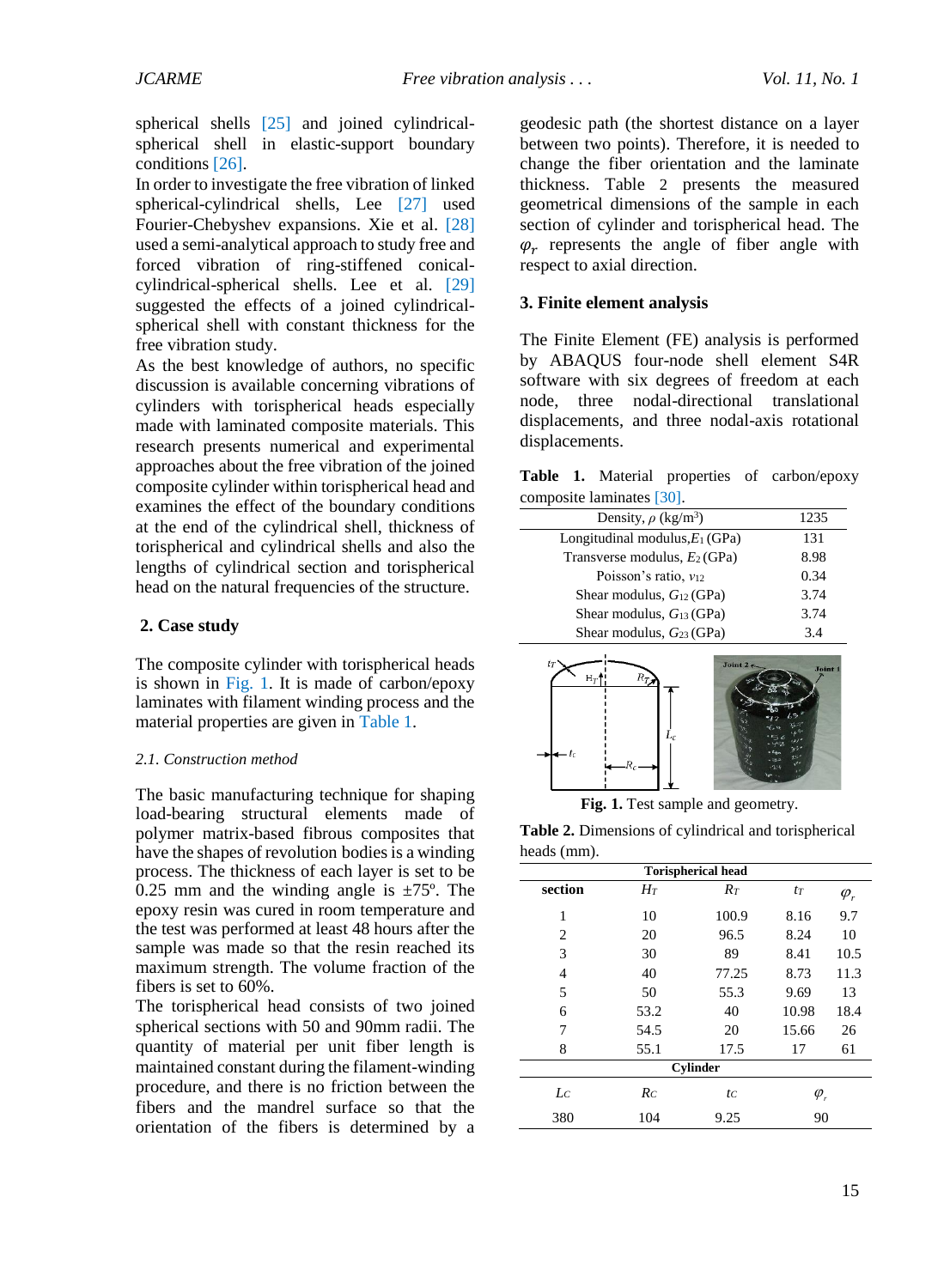spherical shells [\[25\]](#page-8-4) and joined cylindricalspherical shell in elastic-support boundary condition[s \[26\].](#page-8-5)

In order to investigate the free vibration of linked spherical-cylindrical shells, Lee [\[27\]](#page-8-6) used Fourier-Chebyshev expansions. Xie et al. [\[28\]](#page-8-7) used a semi-analytical approach to study free and forced vibration of ring-stiffened conicalcylindrical-spherical shells. Lee et al. [\[29\]](#page-8-8) suggested the effects of a joined cylindricalspherical shell with constant thickness for the free vibration study.

As the best knowledge of authors, no specific discussion is available concerning vibrations of cylinders with torispherical heads especially made with laminated composite materials. This research presents numerical and experimental approaches about the free vibration of the joined composite cylinder within torispherical head and examines the effect of the boundary conditions at the end of the cylindrical shell, thickness of torispherical and cylindrical shells and also the lengths of cylindrical section and torispherical head on the natural frequencies of the structure.

### **2. Case study**

The composite cylinder with torispherical heads is shown in [Fig. 1.](#page-2-0) It is made of carbon/epoxy laminates with filament winding process and the material properties are given in [Table 1.](#page-2-1)

#### *2.1. Construction method*

The basic manufacturing technique for shaping load-bearing structural elements made of polymer matrix-based fibrous composites that have the shapes of revolution bodies is a winding process. The thickness of each layer is set to be 0.25 mm and the winding angle is  $\pm 75^{\circ}$ . The epoxy resin was cured in room temperature and the test was performed at least 48 hours after the sample was made so that the resin reached its maximum strength. The volume fraction of the fibers is set to 60%.

The torispherical head consists of two joined spherical sections with 50 and 90mm radii. The quantity of material per unit fiber length is maintained constant during the filament-winding procedure, and there is no friction between the fibers and the mandrel surface so that the orientation of the fibers is determined by a geodesic path (the shortest distance on a layer between two points). Therefore, it is needed to change the fiber orientation and the laminate thickness. [Table](#page-2-2) 2 presents the measured geometrical dimensions of the sample in each section of cylinder and torispherical head. The  $\varphi_r$  represents the angle of fiber angle with respect to axial direction.

### **3. Finite element analysis**

The Finite Element (FE) analysis is performed by ABAQUS four-node shell element S4R software with six degrees of freedom at each node, three nodal-directional translational displacements, and three nodal-axis rotational displacements.

<span id="page-2-1"></span>

|                           |  |  |  | Table 1. Material properties of carbon/epoxy |
|---------------------------|--|--|--|----------------------------------------------|
| composite laminates [30]. |  |  |  |                                              |

| Density, $\rho$ (kg/m <sup>3</sup> ) | 1235 |
|--------------------------------------|------|
| Longitudinal modulus, $E_1$ (GPa)    | 131  |
| Transverse modulus, $E_2$ (GPa)      | 8.98 |
| Poisson's ratio, $v_{12}$            | 0.34 |
| Shear modulus, $G_{12}$ (GPa)        | 3.74 |
| Shear modulus, $G_{13}$ (GPa)        | 3.74 |
| Shear modulus, $G_{23}$ (GPa)        | 3.4  |



**Fig. 1.** Test sample and geometry.

<span id="page-2-2"></span><span id="page-2-0"></span>**Table 2.** Dimensions of cylindrical and torispherical heads (mm).

| .               |                           |       |                                  |             |  |  |
|-----------------|---------------------------|-------|----------------------------------|-------------|--|--|
|                 | <b>Torispherical head</b> |       |                                  |             |  |  |
| section         | $H_T$                     | $R_T$ | $t_T$                            | $\varphi_r$ |  |  |
| 1               | 10                        | 100.9 | 8.16                             | 9.7         |  |  |
| 2               | 20                        | 96.5  | 8.24                             | 10          |  |  |
| 3               | 30                        | 89    | 8.41                             | 10.5        |  |  |
| 4               | 40                        | 77.25 | 8.73                             | 11.3        |  |  |
| 5               | 50                        | 55.3  | 9.69                             | 13          |  |  |
| 6               | 53.2                      | 40    | 10.98                            | 18.4        |  |  |
| 7               | 54.5                      | 20    | 15.66                            | 26          |  |  |
| 8               | 55.1                      | 17.5  | 17                               | 61          |  |  |
| <b>Cylinder</b> |                           |       |                                  |             |  |  |
| $L_{C}$         | $R_C$                     | tc    | $\varphi_{\scriptscriptstyle r}$ |             |  |  |
| 380             | 104                       | 9.25  | 90                               |             |  |  |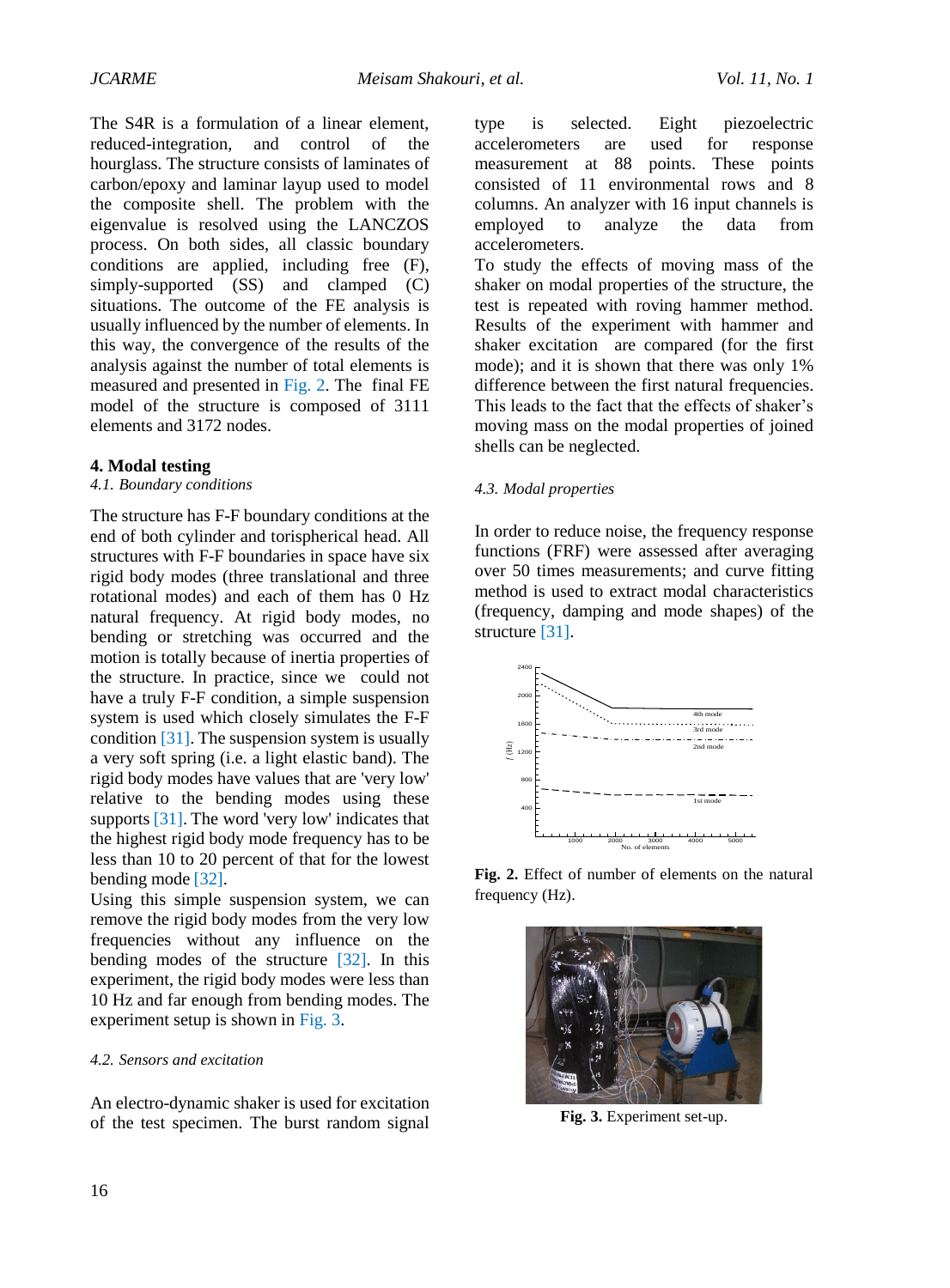The S4R is a formulation of a linear element, reduced-integration, and control of the hourglass. The structure consists of laminates of carbon/epoxy and laminar layup used to model the composite shell. The problem with the eigenvalue is resolved using the LANCZOS process. On both sides, all classic boundary conditions are applied, including free (F), simply-supported (SS) and clamped (C) situations. The outcome of the FE analysis is usually influenced by the number of elements. In this way, the convergence of the results of the analysis against the number of total elements is measured and presented in [Fig. 2.](#page-3-0) The final FE model of the structure is composed of 3111 elements and 3172 nodes.

#### **4. Modal testing**

#### *4.1. Boundary conditions*

The structure has F-F boundary conditions at the end of both cylinder and torispherical head. All structures with F-F boundaries in space have six rigid body modes (three translational and three rotational modes) and each of them has 0 Hz natural frequency. At rigid body modes, no bending or stretching was occurred and the motion is totally because of inertia properties of the structure. In practice, since we could not have a truly F-F condition, a simple suspension system is used which closely simulates the F-F conditio[n \[31\].](#page-8-10) The suspension system is usually a very soft spring (i.e. a light elastic band). The rigid body modes have values that are 'very low' relative to the bending modes using these support[s](#page-8-10) [\[31\].](#page-8-10) The word 'very low' indicates that the highest rigid body mode frequency has to be less than 10 to 20 percent of that for the lowest bending mod[e](#page-8-11) [\[32\].](#page-8-11)

Using this simple suspension system, we can remove the rigid body modes from the very low frequencies without any influence on the bending modes of the structure [\[32\].](#page-8-11) In this experiment, the rigid body modes were less than 10 Hz and far enough from bending modes. The experiment setup is shown in [Fig.](#page-3-1) 3.

#### *4.2. Sensors and excitation*

An electro-dynamic shaker is used for excitation of the test specimen. The burst random signal

type is selected. Eight piezoelectric accelerometers are used for response measurement at 88 points. These points consisted of 11 environmental rows and 8 columns. An analyzer with 16 input channels is employed to analyze the data from accelerometers.

To study the effects of moving mass of the shaker on modal properties of the structure, the test is repeated with roving hammer method. Results of the experiment with hammer and shaker excitation are compared (for the first mode); and it is shown that there was only 1% difference between the first natural frequencies. This leads to the fact that the effects of shaker's moving mass on the modal properties of joined shells can be neglected.

#### *4.3. Modal properties*

In order to reduce noise, the frequency response functions (FRF) were assessed after averaging over 50 times measurements; and curve fitting method is used to extract modal characteristics (frequency, damping and mode shapes) of the structure [\[31\].](#page-8-10)



<span id="page-3-0"></span>**Fig. 2.** Effect of number of elements on the natural frequency (Hz).

<span id="page-3-1"></span>

**Fig. 3.** Experiment set-up.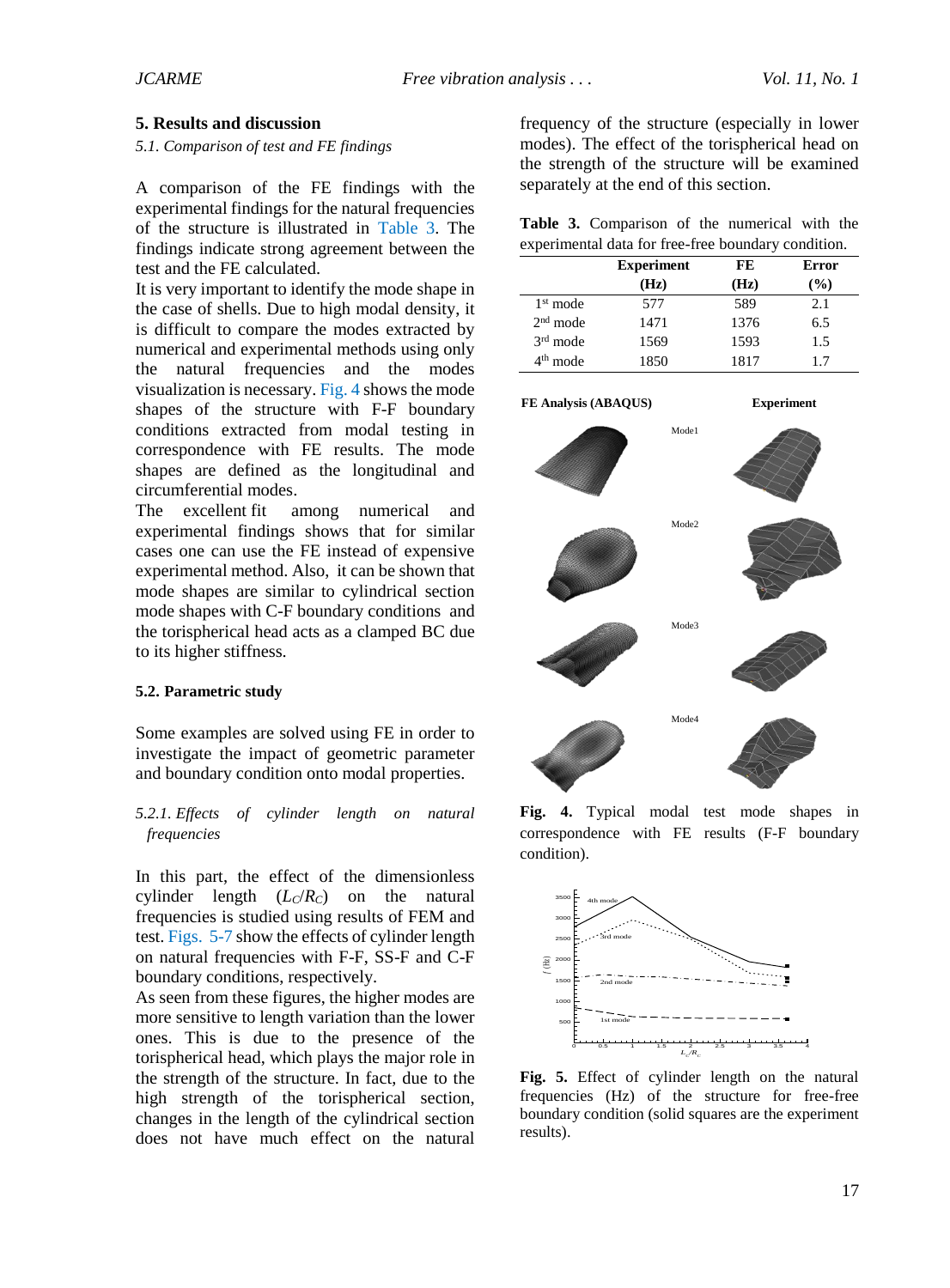#### **5. Results and discussion**

#### *5.1. Comparison of test and FE findings*

A comparison of the FE findings with the experimental findings for the natural frequencies of the structure is illustrated in [Table 3.](#page-4-0) The findings indicate strong agreement between the test and the FE calculated.

It is very important to identify the mode shape in the case of shells. Due to high modal density, it is difficult to compare the modes extracted by numerical and experimental methods using only the natural frequencies and the modes visualization is necessary[. Fig.](#page-4-1) 4 shows the mode shapes of the structure with F-F boundary conditions extracted from modal testing in correspondence with FE results. The mode shapes are defined as the longitudinal and circumferential modes.

The excellent fit among numerical and experimental findings shows that for similar cases one can use the FE instead of expensive experimental method. Also, it can be shown that mode shapes are similar to cylindrical section mode shapes with C-F boundary conditions and the torispherical head acts as a clamped BC due to its higher stiffness.

#### **5.2. Parametric study**

Some examples are solved using FE in order to investigate the impact of geometric parameter and boundary condition onto modal properties.

### *5.2.1. Effects of cylinder length on natural frequencies*

In this part, the effect of the dimensionless cylinder length  $(L<sub>C</sub>/R<sub>C</sub>)$  on the natural freq[uencies](#page-4-2) [is](#page-5-0) studied using results of FEM and test. Figs. 5-7 show the effects of cylinder length on natural frequencies with F-F, SS-F and C-F boundary conditions, respectively.

As seen from these figures, the higher modes are more sensitive to length variation than the lower ones. This is due to the presence of the torispherical head, which plays the major role in the strength of the structure. In fact, due to the high strength of the torispherical section, changes in the length of the cylindrical section does not have much effect on the natural

frequency of the structure (especially in lower modes). The effect of the torispherical head on the strength of the structure will be examined separately at the end of this section.

<span id="page-4-0"></span>

|  | Table 3. Comparison of the numerical with the       |  |  |  |
|--|-----------------------------------------------------|--|--|--|
|  | experimental data for free-free boundary condition. |  |  |  |

|                      | <b>Experiment</b> | FE   | Error  |
|----------------------|-------------------|------|--------|
|                      | (Hz)              | (Hz) | $($ %) |
| $1st$ mode           | 577               | 589  | 2.1    |
| $2nd$ mode           | 1471              | 1376 | 6.5    |
| $3rd$ mode           | 1569              | 1593 | 1.5    |
| 4 <sup>th</sup> mode | 1850              | 1817 | 17     |



<span id="page-4-1"></span>**Fig. 4.** Typical modal test mode shapes in correspondence with FE results (F-F boundary condition).



<span id="page-4-2"></span>**Fig. 5.** Effect of cylinder length on the natural frequencies (Hz) of the structure for free-free boundary condition (solid squares are the experiment results).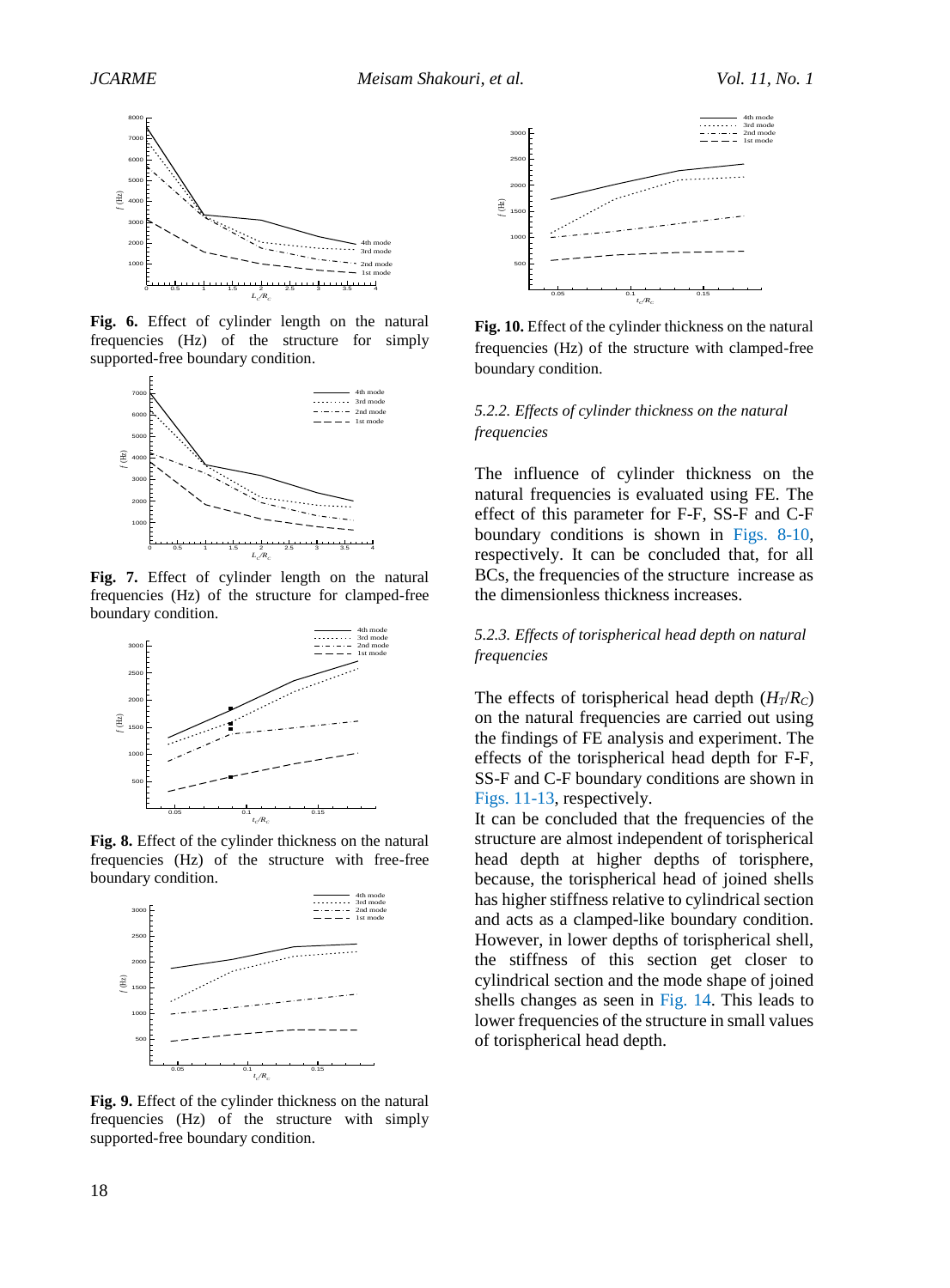

**Fig. 6.** Effect of cylinder length on the natural frequencies (Hz) of the structure for simply supported-free boundary condition.



<span id="page-5-0"></span>**Fig. 7.** Effect of cylinder length on the natural frequencies (Hz) of the structure for clamped-free boundary condition.



<span id="page-5-1"></span>**Fig. 8.** Effect of the cylinder thickness on the natural frequencies (Hz) of the structure with free-free boundary condition.



**Fig. 9.** Effect of the cylinder thickness on the natural frequencies (Hz) of the structure with simply supported-free boundary condition.



<span id="page-5-2"></span>**Fig. 10.** Effect of the cylinder thickness on the natural frequencies (Hz) of the structure with clamped-free boundary condition.

#### *5.2.2. Effects of cylinder thickness on the natural frequencies*

The influence of cylinder thickness on the natural frequencies is evaluated using FE. The effect of this parameter for F-F, SS-F and C-F boundary conditions is shown in [Figs. 8](#page-5-1)[-10,](#page-5-2) respectively. It can be concluded that, for all BCs, the frequencies of the structure increase as the dimensionless thickness increases.

#### *5.2.3. Effects of torispherical head depth on natural frequencies*

The effects of torispherical head depth  $(H_T/R_C)$ on the natural frequencies are carried out using the findings of FE analysis and experiment. The effects of the torispherical head depth for F-F, SS-F and C-F boundary conditions are shown in [Figs. 11](#page-6-2)[-13,](#page-6-3) respectively.

It can be concluded that the frequencies of the structure are almost independent of torispherical head depth at higher depths of torisphere, because, the torispherical head of joined shells has higher stiffness relative to cylindrical section and acts as a clamped-like boundary condition. However, in lower depths of torispherical shell, the stiffness of this section get closer to cylindrical section and the mode shape of joined shells changes as seen in [Fig. 14.](#page-6-4) This leads to lower frequencies of the structure in small values of torispherical head depth.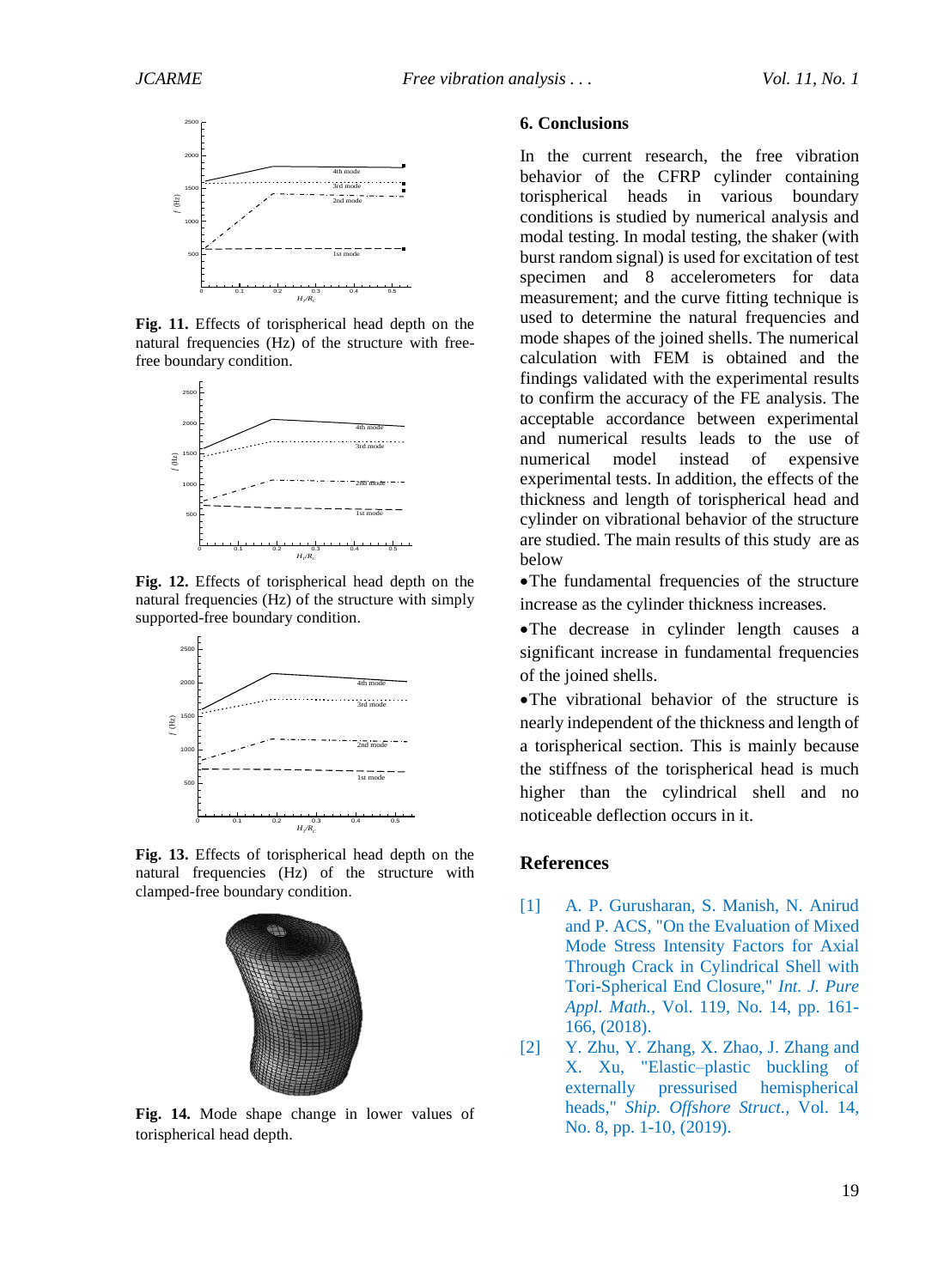

<span id="page-6-2"></span>**Fig. 11.** Effects of torispherical head depth on the natural frequencies (Hz) of the structure with freefree boundary condition.



**Fig. 12.** Effects of torispherical head depth on the natural frequencies (Hz) of the structure with simply supported-free boundary condition.



<span id="page-6-3"></span>**Fig. 13.** Effects of torispherical head depth on the natural frequencies (Hz) of the structure with clamped-free boundary condition.



<span id="page-6-4"></span>**Fig. 14.** Mode shape change in lower values of torispherical head depth.

#### **6. Conclusions**

In the current research, the free vibration behavior of the CFRP cylinder containing torispherical heads in various boundary conditions is studied by numerical analysis and modal testing. In modal testing, the shaker (with burst random signal) is used for excitation of test specimen and 8 accelerometers for data measurement; and the curve fitting technique is used to determine the natural frequencies and mode shapes of the joined shells. The numerical calculation with FEM is obtained and the findings validated with the experimental results to confirm the accuracy of the FE analysis. The acceptable accordance between experimental and numerical results leads to the use of numerical model instead of expensive experimental tests. In addition, the effects of the thickness and length of torispherical head and cylinder on vibrational behavior of the structure are studied. The main results of this study are as below

•The fundamental frequencies of the structure increase as the cylinder thickness increases.

•The decrease in cylinder length causes a significant increase in fundamental frequencies of the joined shells.

•The vibrational behavior of the structure is nearly independent of the thickness and length of a torispherical section. This is mainly because the stiffness of the torispherical head is much higher than the cylindrical shell and no noticeable deflection occurs in it.

#### **References**

- <span id="page-6-0"></span>[1] A. P. Gurusharan, S. Manish, N. Anirud and P. ACS, "On the Evaluation of Mixed Mode Stress Intensity Factors for Axial Through Crack in Cylindrical Shell with Tori-Spherical End Closure," *Int. J. Pure Appl. Math.,* Vol. 119, No. 14, pp. 161- 166, (2018).
- <span id="page-6-1"></span>[2] Y. Zhu, Y. Zhang, X. Zhao, J. Zhang and X. Xu, "Elastic–plastic buckling of externally pressurised hemispherical heads," *Ship. Offshore Struct.,* Vol. 14, No. 8, pp. 1-10, (2019).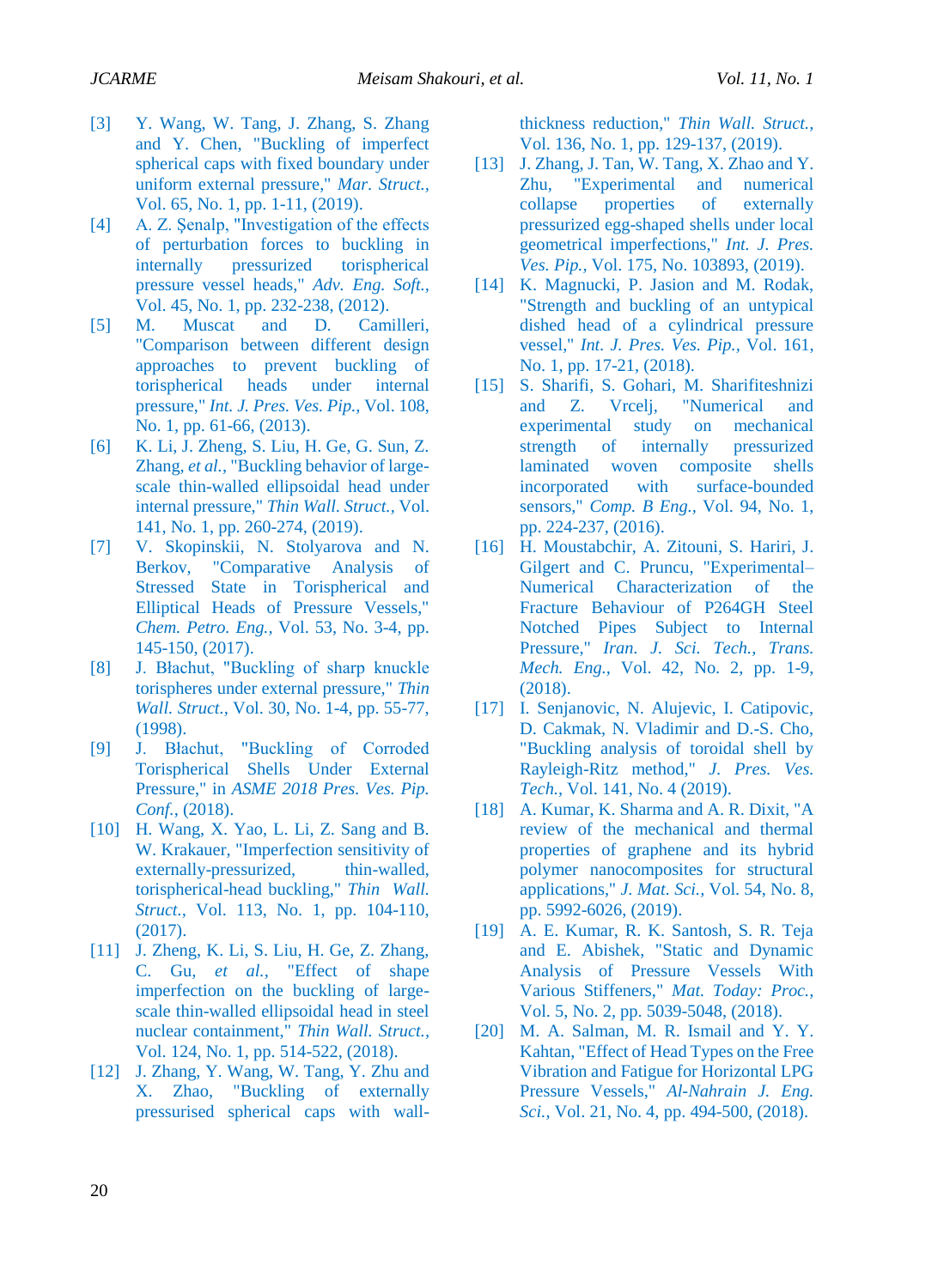- <span id="page-7-0"></span>[3] Y. Wang, W. Tang, J. Zhang, S. Zhang and Y. Chen, "Buckling of imperfect spherical caps with fixed boundary under uniform external pressure," *Mar. Struct.,*  Vol. 65, No. 1, pp. 1-11, (2019).
- <span id="page-7-1"></span>[4] A. Z. Senalp, "Investigation of the effects of perturbation forces to buckling in internally pressurized torispherical pressure vessel heads," *Adv. Eng. Soft.,*  Vol. 45, No. 1, pp. 232-238, (2012).
- <span id="page-7-2"></span>[5] M. Muscat and D. Camilleri, "Comparison between different design approaches to prevent buckling of torispherical heads under internal pressure," *Int. J. Pres. Ves. Pip.,* Vol. 108, No. 1, pp. 61-66, (2013).
- <span id="page-7-3"></span>[6] K. Li, J. Zheng, S. Liu, H. Ge, G. Sun, Z. Zhang*, et al.*, "Buckling behavior of largescale thin-walled ellipsoidal head under internal pressure," *Thin Wall. Struct.,* Vol. 141, No. 1, pp. 260-274, (2019).
- <span id="page-7-4"></span>[7] V. Skopinskii, N. Stolyarova and N. Berkov, "Comparative Analysis of Stressed State in Torispherical and Elliptical Heads of Pressure Vessels," *Chem. Petro. Eng.,* Vol. 53, No. 3-4, pp. 145-150, (2017).
- <span id="page-7-5"></span>[8] J. Błachut, "Buckling of sharp knuckle torispheres under external pressure," *Thin Wall. Struct.,* Vol. 30, No. 1-4, pp. 55-77, (1998).
- <span id="page-7-6"></span>[9] J. Błachut, "Buckling of Corroded Torispherical Shells Under External Pressure," in *ASME 2018 Pres. Ves. Pip. Conf.*, (2018).
- <span id="page-7-7"></span>[10] H. Wang, X. Yao, L. Li, Z. Sang and B. W. Krakauer, "Imperfection sensitivity of externally-pressurized, thin-walled, torispherical-head buckling," *Thin Wall. Struct.,* Vol. 113, No. 1, pp. 104-110, (2017).
- <span id="page-7-8"></span>[11] J. Zheng, K. Li, S. Liu, H. Ge, Z. Zhang, C. Gu*, et al.*, "Effect of shape imperfection on the buckling of largescale thin-walled ellipsoidal head in steel nuclear containment," *Thin Wall. Struct.,*  Vol. 124, No. 1, pp. 514-522, (2018).
- <span id="page-7-9"></span>[12] J. Zhang, Y. Wang, W. Tang, Y. Zhu and X. Zhao, "Buckling of externally pressurised spherical caps with wall-

<span id="page-7-10"></span>thickness reduction," *Thin Wall. Struct.,*  Vol. 136, No. 1, pp. 129-137, (2019).

- [13] J. Zhang, J. Tan, W. Tang, X. Zhao and Y. Zhu, "Experimental and numerical collapse properties of externally pressurized egg-shaped shells under local geometrical imperfections," *Int. J. Pres. Ves. Pip.,* Vol. 175, No. 103893, (2019).
- <span id="page-7-11"></span>[14] K. Magnucki, P. Jasion and M. Rodak, "Strength and buckling of an untypical dished head of a cylindrical pressure vessel," *Int. J. Pres. Ves. Pip.,* Vol. 161, No. 1, pp. 17-21, (2018).
- <span id="page-7-12"></span>[15] S. Sharifi, S. Gohari, M. Sharifiteshnizi and Z. Vrcelj, "Numerical and experimental study on mechanical strength of internally pressurized laminated woven composite shells incorporated with surface-bounded sensors," *Comp. B Eng.,* Vol. 94, No. 1, pp. 224-237, (2016).
- <span id="page-7-13"></span>[16] H. Moustabchir, A. Zitouni, S. Hariri, J. Gilgert and C. Pruncu, "Experimental– Numerical Characterization of the Fracture Behaviour of P264GH Steel Notched Pipes Subject to Internal Pressure," *Iran. J. Sci. Tech., Trans. Mech. Eng.,* Vol. 42, No. 2, pp. 1-9, (2018).
- <span id="page-7-14"></span>[17] I. Senjanovic, N. Alujevic, I. Catipovic, D. Cakmak, N. Vladimir and D.-S. Cho, "Buckling analysis of toroidal shell by Rayleigh-Ritz method," *J. Pres. Ves. Tech.,* Vol. 141, No. 4 (2019).
- <span id="page-7-15"></span>[18] A. Kumar, K. Sharma and A. R. Dixit, "A review of the mechanical and thermal properties of graphene and its hybrid polymer nanocomposites for structural applications," *J. Mat. Sci.,* Vol. 54, No. 8, pp. 5992-6026, (2019).
- <span id="page-7-16"></span>[19] A. E. Kumar, R. K. Santosh, S. R. Teja and E. Abishek, "Static and Dynamic Analysis of Pressure Vessels With Various Stiffeners," *Mat. Today: Proc.,*  Vol. 5, No. 2, pp. 5039-5048, (2018).
- <span id="page-7-17"></span>[20] M. A. Salman, M. R. Ismail and Y. Y. Kahtan, "Effect of Head Types on the Free Vibration and Fatigue for Horizontal LPG Pressure Vessels," *Al-Nahrain J. Eng. Sci.,* Vol. 21, No. 4, pp. 494-500, (2018).